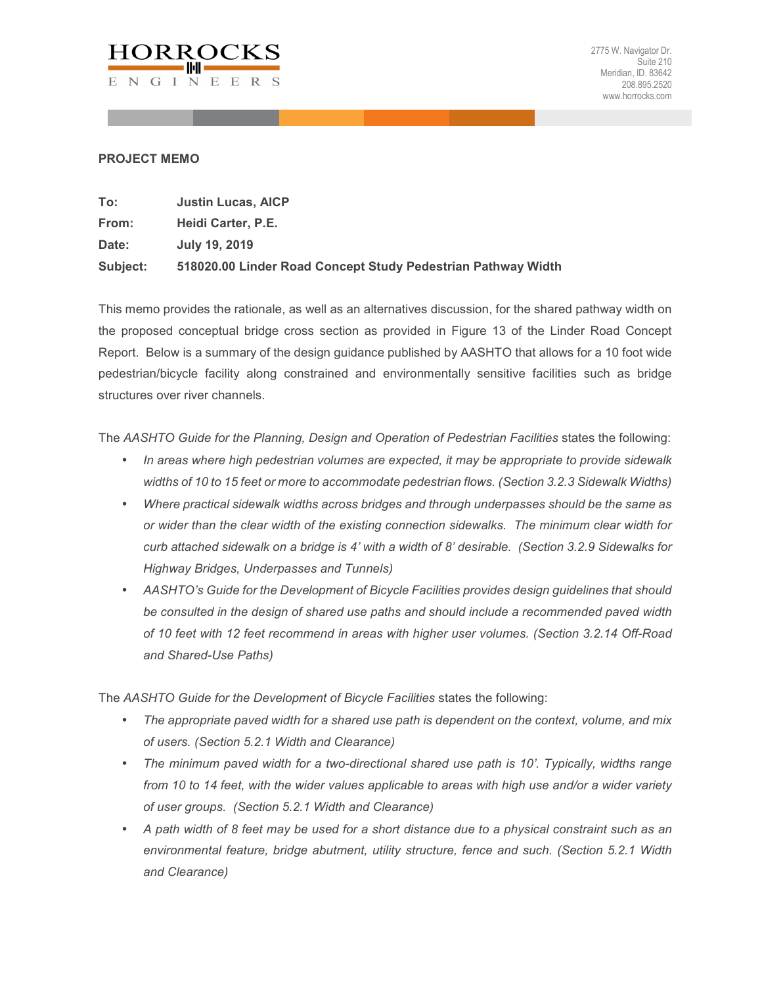

## **PROJECT MEMO**

| To:      | <b>Justin Lucas, AICP</b>                                    |
|----------|--------------------------------------------------------------|
| From:    | Heidi Carter, P.E.                                           |
| Date:    | July 19, 2019                                                |
| Subject: | 518020.00 Linder Road Concept Study Pedestrian Pathway Width |

This memo provides the rationale, as well as an alternatives discussion, for the shared pathway width on the proposed conceptual bridge cross section as provided in Figure 13 of the Linder Road Concept Report. Below is a summary of the design guidance published by AASHTO that allows for a 10 foot wide pedestrian/bicycle facility along constrained and environmentally sensitive facilities such as bridge structures over river channels.

The *AASHTO Guide for the Planning, Design and Operation of Pedestrian Facilities states the following:* 

- *In areas where high pedestrian volumes are expected, it may be appropriate to provide sidewalk widths of 10 to 15 feet or more to accommodate pedestrian flows. (Section 3.2.3 Sidewalk Widths)*
- *Where practical sidewalk widths across bridges and through underpasses should be the same as or wider than the clear width of the existing connection sidewalks. The minimum clear width for curb attached sidewalk on a bridge is 4' with a width of 8' desirable. (Section 3.2.9 Sidewalks for Highway Bridges, Underpasses and Tunnels)*
- *AASHTO's Guide for the Development of Bicycle Facilities provides design guidelines that should be consulted in the design of shared use paths and should include a recommended paved width of 10 feet with 12 feet recommend in areas with higher user volumes. (Section 3.2.14 Off-Road and Shared-Use Paths)*

The *AASHTO Guide for the Development of Bicycle Facilities* states the following:

- *The appropriate paved width for a shared use path is dependent on the context, volume, and mix of users. (Section 5.2.1 Width and Clearance)*
- *The minimum paved width for a two-directional shared use path is 10'. Typically, widths range from 10 to 14 feet, with the wider values applicable to areas with high use and/or a wider variety of user groups. (Section 5.2.1 Width and Clearance)*
- *A path width of 8 feet may be used for a short distance due to a physical constraint such as an environmental feature, bridge abutment, utility structure, fence and such. (Section 5.2.1 Width and Clearance)*